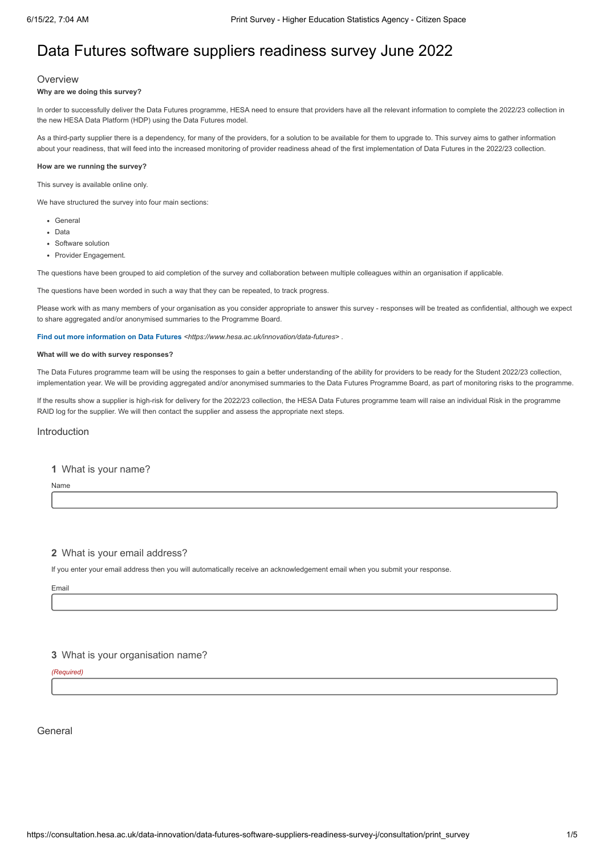# Data Futures software suppliers readiness survey June 2022

## **Overview**

#### **Why are we doing this survey?**

In order to successfully deliver the Data Futures programme, HESA need to ensure that providers have all the relevant information to complete the 2022/23 collection in the new HESA Data Platform (HDP) using the Data Futures model.

As a third-party supplier there is a dependency, for many of the providers, for a solution to be available for them to upgrade to. This survey aims to gather information about your readiness, that will feed into the increased monitoring of provider readiness ahead of the first implementation of Data Futures in the 2022/23 collection.

#### **How are we running the survey?**

This survey is available online only.

We have structured the survey into four main sections:

- General
- Data
- Software solution
- Provider Engagement

The questions have been grouped to aid completion of the survey and collaboration between multiple colleagues within an organisation if applicable.

The questions have been worded in such a way that they can be repeated, to track progress.

Please work with as many members of your organisation as you consider appropriate to answer this survey - responses will be treated as confidential, although we expect to share aggregated and/or anonymised summaries to the Programme Board.

**Find out more information on Data Futures** *[<https://www.hesa.ac.uk/innovation/data-futures>](https://www.hesa.ac.uk/innovation/data-futures)* .

## **What will we do with survey responses?**

The Data Futures programme team will be using the responses to gain a better understanding of the ability for providers to be ready for the Student 2022/23 collection, implementation year. We will be providing aggregated and/or anonymised summaries to the Data Futures Programme Board, as part of monitoring risks to the programme.

If the results show a supplier is high-risk for delivery for the 2022/23 collection, the HESA Data Futures programme team will raise an individual Risk in the programme RAID log for the supplier. We will then contact the supplier and assess the appropriate next steps.

## Introduction

#### **1** What is your name?

Name

## **2** What is your email address?

If you enter your email address then you will automatically receive an acknowledgement email when you submit your response.

Email

## **3** What is your organisation name?

*(Required)*

General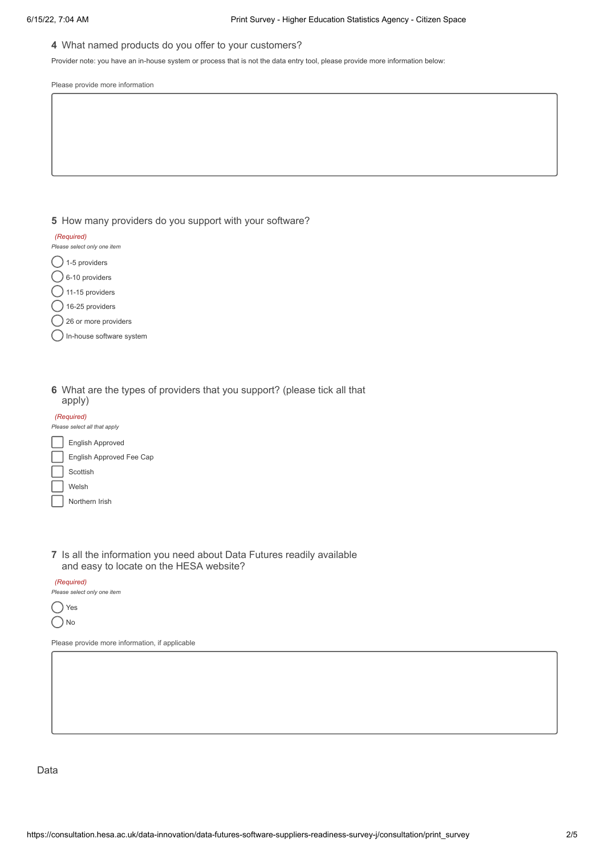## **4** What named products do you offer to your customers?

Provider note: you have an in-house system or process that is not the data entry tool, please provide more information below:

Please provide more information

**5** How many providers do you support with your software?

| (Required)                  |
|-----------------------------|
| Please select only one item |
| 1-5 providers               |
| 6-10 providers              |
| 11-15 providers             |

 $( )$  16-25 providers

- () 26 or more providers
- In-house software system

**6** What are the types of providers that you support? (please tick all that apply)

| (Required)                   |                                 |  |  |  |
|------------------------------|---------------------------------|--|--|--|
| Please select all that apply |                                 |  |  |  |
|                              | <b>English Approved</b>         |  |  |  |
|                              | <b>English Approved Fee Cap</b> |  |  |  |
|                              | Scottish                        |  |  |  |
|                              | Welsh                           |  |  |  |
|                              | Northern Irish                  |  |  |  |

**7** Is all the information you need about Data Futures readily available and easy to locate on the HESA website?

*(Required)*

*Please select only one item*

◯ Yes  $\bigcap$  No

Please provide more information, if applicable

Data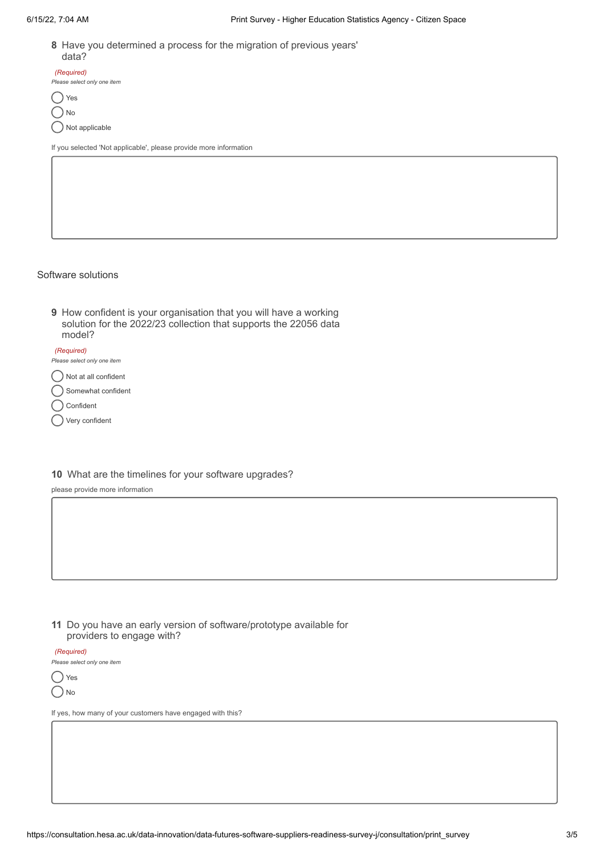**8** Have you determined a process for the migration of previous years' data?

| (Required)                  |
|-----------------------------|
| Please select only one item |
|                             |

() Yes  $\bigcap$ No

Not applicable

If you selected 'Not applicable', please provide more information

## Software solutions

**9** How confident is your organisation that you will have a working solution for the 2022/23 collection that supports the 22056 data model?

#### *(Required)*

*Please select only one item*

Not at all confident

Somewhat confident

Confident C

Very confident

# **10** What are the timelines for your software upgrades?

please provide more information

**11** Do you have an early version of software/prototype available for providers to engage with?

*(Required)*

*Please select only one item*

() Yes  $\bigcap$ No

If yes, how many of your customers have engaged with this?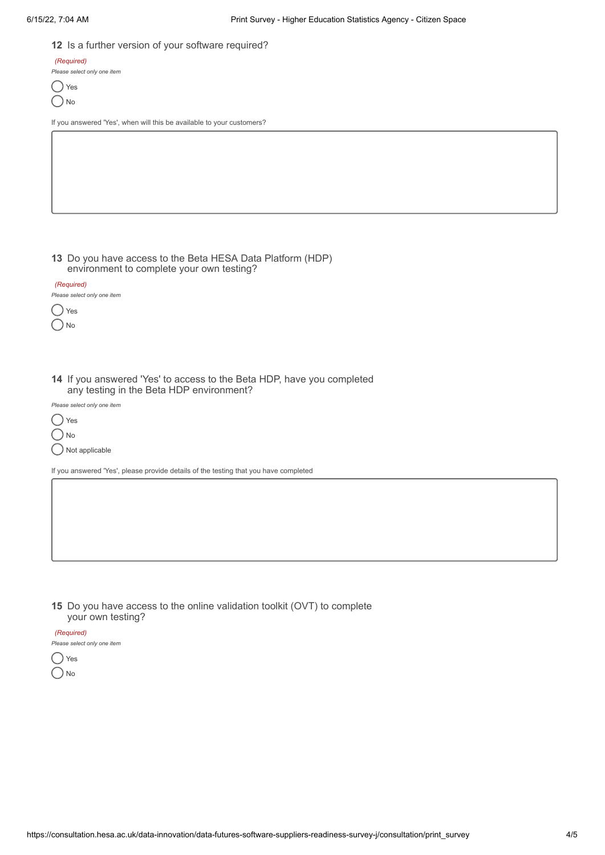## **12** Is a further version of your software required?

*(Required)*

*Please select only one item*

◯ Yes  $\bigcap$ No

If you answered 'Yes', when will this be available to your customers?

**13** Do you have access to the Beta HESA Data Platform (HDP) environment to complete your own testing?

| (Required)                  |  |  |  |
|-----------------------------|--|--|--|
| Please select only one item |  |  |  |
| Yes                         |  |  |  |
| N٥                          |  |  |  |

**14** If you answered 'Yes' to access to the Beta HDP, have you completed any testing in the Beta HDP environment?

*Please select only one item*

◯ Yes

 $\bigcap$ No

 $\bigcap$  Not applicable

If you answered 'Yes', please provide details of the testing that you have completed

**15** Do you have access to the online validation toolkit (OVT) to complete your own testing?

*(Required)*

*Please select only one item*